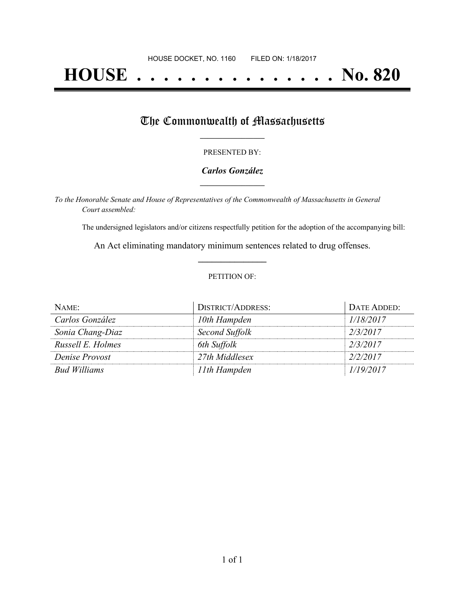# **HOUSE . . . . . . . . . . . . . . . No. 820**

## The Commonwealth of Massachusetts

#### PRESENTED BY:

#### *Carlos González* **\_\_\_\_\_\_\_\_\_\_\_\_\_\_\_\_\_**

*To the Honorable Senate and House of Representatives of the Commonwealth of Massachusetts in General Court assembled:*

The undersigned legislators and/or citizens respectfully petition for the adoption of the accompanying bill:

An Act eliminating mandatory minimum sentences related to drug offenses. **\_\_\_\_\_\_\_\_\_\_\_\_\_\_\_**

#### PETITION OF:

| NAME:             | <b>DISTRICT/ADDRESS:</b> | DATE ADDED: |
|-------------------|--------------------------|-------------|
| Carlos González   | 10th Hampden             | 1/18/2017   |
| Sonia Chang-Diaz  | Second Suffolk           | 2/3/2017    |
| Russell E. Holmes | 6th Suffolk              | 2/3/2017    |
| Denise Provost    | 27th Middlesex           | 2/2/2017    |
| Bud Williams      | 11th Hampden             | 1/19/2017   |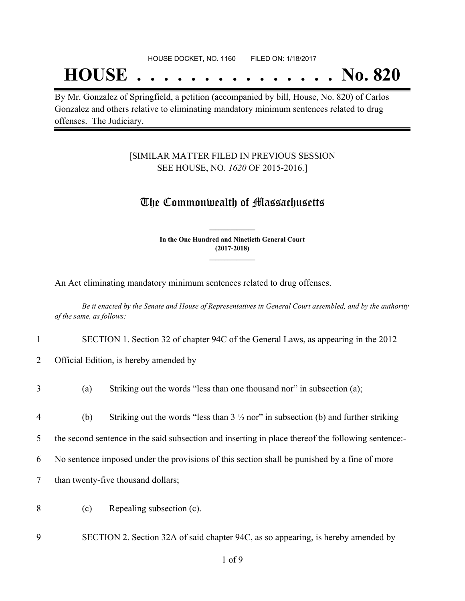## **HOUSE . . . . . . . . . . . . . . . No. 820**

By Mr. Gonzalez of Springfield, a petition (accompanied by bill, House, No. 820) of Carlos Gonzalez and others relative to eliminating mandatory minimum sentences related to drug offenses. The Judiciary.

### [SIMILAR MATTER FILED IN PREVIOUS SESSION SEE HOUSE, NO. *1620* OF 2015-2016.]

## The Commonwealth of Massachusetts

**In the One Hundred and Ninetieth General Court (2017-2018) \_\_\_\_\_\_\_\_\_\_\_\_\_\_\_**

**\_\_\_\_\_\_\_\_\_\_\_\_\_\_\_**

An Act eliminating mandatory minimum sentences related to drug offenses.

Be it enacted by the Senate and House of Representatives in General Court assembled, and by the authority *of the same, as follows:*

- 1 SECTION 1. Section 32 of chapter 94C of the General Laws, as appearing in the 2012
- 2 Official Edition, is hereby amended by
- 3 (a) Striking out the words "less than one thousand nor" in subsection (a);
- 4 (b) Striking out the words "less than  $3\frac{1}{2}$  nor" in subsection (b) and further striking

5 the second sentence in the said subsection and inserting in place thereof the following sentence:-

- 6 No sentence imposed under the provisions of this section shall be punished by a fine of more
- 7 than twenty-five thousand dollars;
- 8 (c) Repealing subsection (c).
- 9 SECTION 2. Section 32A of said chapter 94C, as so appearing, is hereby amended by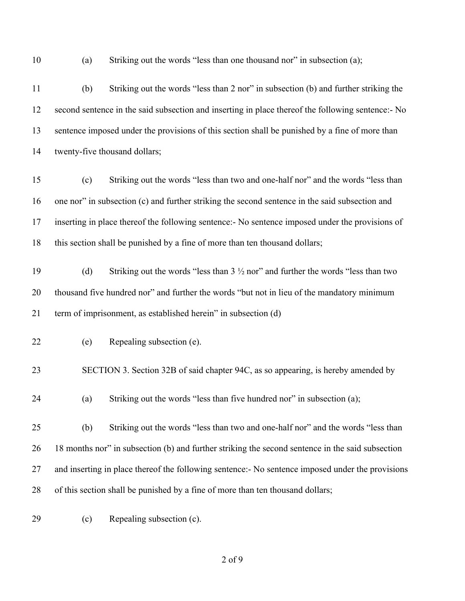(a) Striking out the words "less than one thousand nor" in subsection (a);

 (b) Striking out the words "less than 2 nor" in subsection (b) and further striking the second sentence in the said subsection and inserting in place thereof the following sentence:- No sentence imposed under the provisions of this section shall be punished by a fine of more than twenty-five thousand dollars;

- (c) Striking out the words "less than two and one-half nor" and the words "less than one nor" in subsection (c) and further striking the second sentence in the said subsection and inserting in place thereof the following sentence:- No sentence imposed under the provisions of this section shall be punished by a fine of more than ten thousand dollars;
- 19 (d) Striking out the words "less than  $3\frac{1}{2}$  nor" and further the words "less than two thousand five hundred nor" and further the words "but not in lieu of the mandatory minimum term of imprisonment, as established herein" in subsection (d)
- (e) Repealing subsection (e).
- SECTION 3. Section 32B of said chapter 94C, as so appearing, is hereby amended by
- (a) Striking out the words "less than five hundred nor" in subsection (a);
- (b) Striking out the words "less than two and one-half nor" and the words "less than 18 months nor" in subsection (b) and further striking the second sentence in the said subsection 27 and inserting in place thereof the following sentence: No sentence imposed under the provisions of this section shall be punished by a fine of more than ten thousand dollars;
- (c) Repealing subsection (c).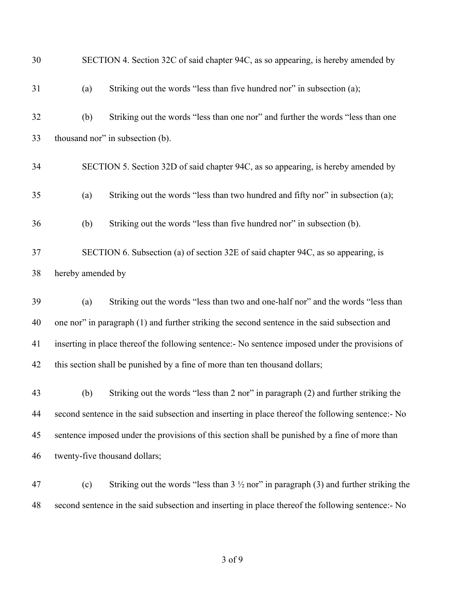| 30 | SECTION 4. Section 32C of said chapter 94C, as so appearing, is hereby amended by                      |  |  |
|----|--------------------------------------------------------------------------------------------------------|--|--|
| 31 | Striking out the words "less than five hundred nor" in subsection (a);<br>(a)                          |  |  |
| 32 | Striking out the words "less than one nor" and further the words "less than one<br>(b)                 |  |  |
| 33 | thousand nor" in subsection (b).                                                                       |  |  |
| 34 | SECTION 5. Section 32D of said chapter 94C, as so appearing, is hereby amended by                      |  |  |
| 35 | Striking out the words "less than two hundred and fifty nor" in subsection (a);<br>(a)                 |  |  |
| 36 | Striking out the words "less than five hundred nor" in subsection (b).<br>(b)                          |  |  |
| 37 | SECTION 6. Subsection (a) of section 32E of said chapter 94C, as so appearing, is                      |  |  |
| 38 | hereby amended by                                                                                      |  |  |
| 39 | Striking out the words "less than two and one-half nor" and the words "less than<br>(a)                |  |  |
| 40 | one nor" in paragraph (1) and further striking the second sentence in the said subsection and          |  |  |
| 41 | inserting in place thereof the following sentence:- No sentence imposed under the provisions of        |  |  |
| 42 | this section shall be punished by a fine of more than ten thousand dollars;                            |  |  |
| 43 | Striking out the words "less than 2 nor" in paragraph (2) and further striking the<br>(b)              |  |  |
| 44 | second sentence in the said subsection and inserting in place thereof the following sentence:- No      |  |  |
| 45 | sentence imposed under the provisions of this section shall be punished by a fine of more than         |  |  |
| 46 | twenty-five thousand dollars;                                                                          |  |  |
| 47 | Striking out the words "less than $3\frac{1}{2}$ nor" in paragraph (3) and further striking the<br>(c) |  |  |
| 48 | second sentence in the said subsection and inserting in place thereof the following sentence:- No      |  |  |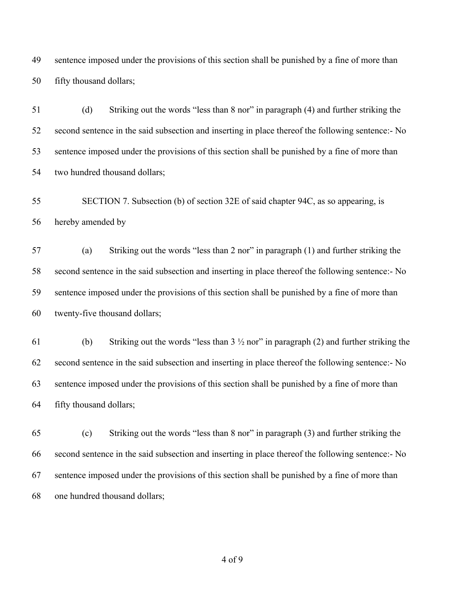sentence imposed under the provisions of this section shall be punished by a fine of more than fifty thousand dollars;

 (d) Striking out the words "less than 8 nor" in paragraph (4) and further striking the second sentence in the said subsection and inserting in place thereof the following sentence:- No sentence imposed under the provisions of this section shall be punished by a fine of more than two hundred thousand dollars;

 SECTION 7. Subsection (b) of section 32E of said chapter 94C, as so appearing, is hereby amended by

 (a) Striking out the words "less than 2 nor" in paragraph (1) and further striking the second sentence in the said subsection and inserting in place thereof the following sentence:- No sentence imposed under the provisions of this section shall be punished by a fine of more than twenty-five thousand dollars;

61 (b) Striking out the words "less than  $3\frac{1}{2}$  nor" in paragraph (2) and further striking the second sentence in the said subsection and inserting in place thereof the following sentence:- No sentence imposed under the provisions of this section shall be punished by a fine of more than fifty thousand dollars;

 (c) Striking out the words "less than 8 nor" in paragraph (3) and further striking the second sentence in the said subsection and inserting in place thereof the following sentence:- No sentence imposed under the provisions of this section shall be punished by a fine of more than one hundred thousand dollars;

of 9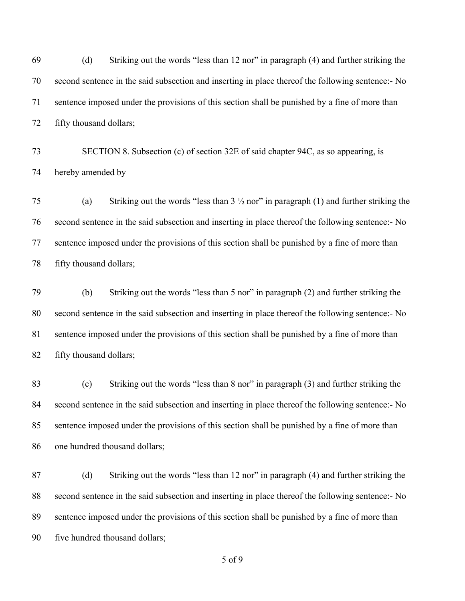(d) Striking out the words "less than 12 nor" in paragraph (4) and further striking the second sentence in the said subsection and inserting in place thereof the following sentence:- No sentence imposed under the provisions of this section shall be punished by a fine of more than fifty thousand dollars;

 SECTION 8. Subsection (c) of section 32E of said chapter 94C, as so appearing, is hereby amended by

 (a) Striking out the words "less than 3 ½ nor" in paragraph (1) and further striking the second sentence in the said subsection and inserting in place thereof the following sentence:- No sentence imposed under the provisions of this section shall be punished by a fine of more than fifty thousand dollars;

 (b) Striking out the words "less than 5 nor" in paragraph (2) and further striking the second sentence in the said subsection and inserting in place thereof the following sentence:- No sentence imposed under the provisions of this section shall be punished by a fine of more than fifty thousand dollars;

 (c) Striking out the words "less than 8 nor" in paragraph (3) and further striking the 84 second sentence in the said subsection and inserting in place thereof the following sentence:- No sentence imposed under the provisions of this section shall be punished by a fine of more than one hundred thousand dollars;

 (d) Striking out the words "less than 12 nor" in paragraph (4) and further striking the second sentence in the said subsection and inserting in place thereof the following sentence:- No sentence imposed under the provisions of this section shall be punished by a fine of more than five hundred thousand dollars;

of 9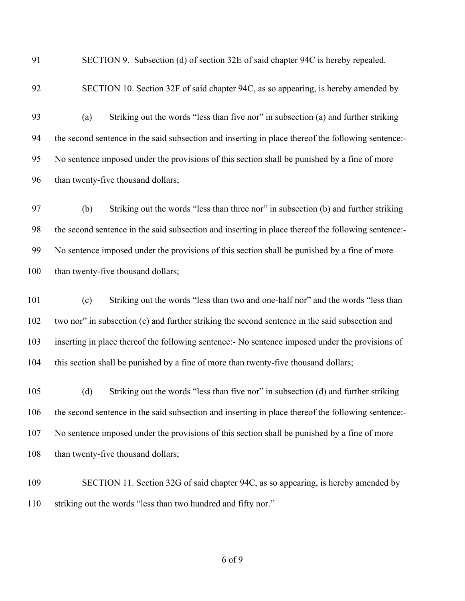SECTION 9. Subsection (d) of section 32E of said chapter 94C is hereby repealed.

SECTION 10. Section 32F of said chapter 94C, as so appearing, is hereby amended by

 (a) Striking out the words "less than five nor" in subsection (a) and further striking the second sentence in the said subsection and inserting in place thereof the following sentence:- No sentence imposed under the provisions of this section shall be punished by a fine of more 96 than twenty-five thousand dollars;

 (b) Striking out the words "less than three nor" in subsection (b) and further striking the second sentence in the said subsection and inserting in place thereof the following sentence:- No sentence imposed under the provisions of this section shall be punished by a fine of more 100 than twenty-five thousand dollars;

 (c) Striking out the words "less than two and one-half nor" and the words "less than two nor" in subsection (c) and further striking the second sentence in the said subsection and inserting in place thereof the following sentence:- No sentence imposed under the provisions of 104 this section shall be punished by a fine of more than twenty-five thousand dollars;

 (d) Striking out the words "less than five nor" in subsection (d) and further striking the second sentence in the said subsection and inserting in place thereof the following sentence:- No sentence imposed under the provisions of this section shall be punished by a fine of more 108 than twenty-five thousand dollars;

 SECTION 11. Section 32G of said chapter 94C, as so appearing, is hereby amended by striking out the words "less than two hundred and fifty nor."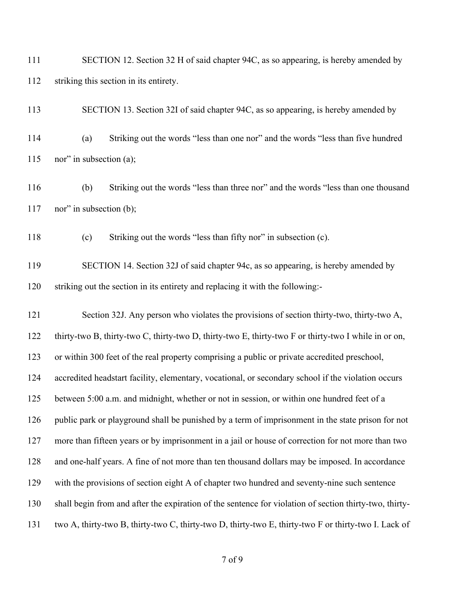SECTION 12. Section 32 H of said chapter 94C, as so appearing, is hereby amended by striking this section in its entirety.

SECTION 13. Section 32I of said chapter 94C, as so appearing, is hereby amended by

 (a) Striking out the words "less than one nor" and the words "less than five hundred nor" in subsection (a);

 (b) Striking out the words "less than three nor" and the words "less than one thousand 117 nor" in subsection (b);

(c) Striking out the words "less than fifty nor" in subsection (c).

 SECTION 14. Section 32J of said chapter 94c, as so appearing, is hereby amended by striking out the section in its entirety and replacing it with the following:-

121 Section 32J. Any person who violates the provisions of section thirty-two, thirty-two A, thirty-two B, thirty-two C, thirty-two D, thirty-two E, thirty-two F or thirty-two I while in or on, or within 300 feet of the real property comprising a public or private accredited preschool, accredited headstart facility, elementary, vocational, or secondary school if the violation occurs between 5:00 a.m. and midnight, whether or not in session, or within one hundred feet of a public park or playground shall be punished by a term of imprisonment in the state prison for not more than fifteen years or by imprisonment in a jail or house of correction for not more than two and one-half years. A fine of not more than ten thousand dollars may be imposed. In accordance with the provisions of section eight A of chapter two hundred and seventy-nine such sentence shall begin from and after the expiration of the sentence for violation of section thirty-two, thirty-two A, thirty-two B, thirty-two C, thirty-two D, thirty-two E, thirty-two F or thirty-two I. Lack of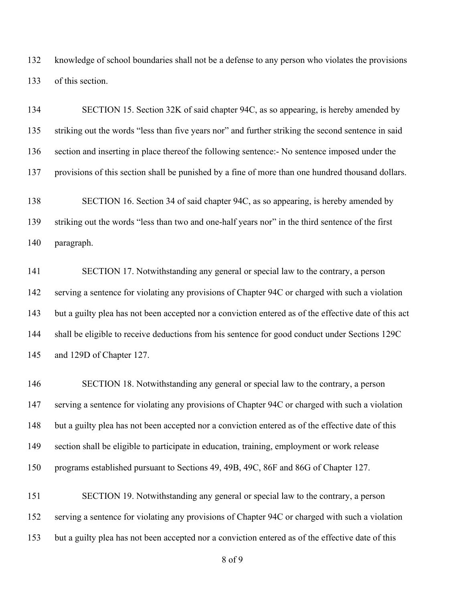knowledge of school boundaries shall not be a defense to any person who violates the provisions of this section.

 SECTION 15. Section 32K of said chapter 94C, as so appearing, is hereby amended by striking out the words "less than five years nor" and further striking the second sentence in said section and inserting in place thereof the following sentence:- No sentence imposed under the provisions of this section shall be punished by a fine of more than one hundred thousand dollars. SECTION 16. Section 34 of said chapter 94C, as so appearing, is hereby amended by striking out the words "less than two and one-half years nor" in the third sentence of the first paragraph. SECTION 17. Notwithstanding any general or special law to the contrary, a person

 serving a sentence for violating any provisions of Chapter 94C or charged with such a violation but a guilty plea has not been accepted nor a conviction entered as of the effective date of this act shall be eligible to receive deductions from his sentence for good conduct under Sections 129C and 129D of Chapter 127.

 SECTION 18. Notwithstanding any general or special law to the contrary, a person serving a sentence for violating any provisions of Chapter 94C or charged with such a violation but a guilty plea has not been accepted nor a conviction entered as of the effective date of this section shall be eligible to participate in education, training, employment or work release programs established pursuant to Sections 49, 49B, 49C, 86F and 86G of Chapter 127.

 SECTION 19. Notwithstanding any general or special law to the contrary, a person serving a sentence for violating any provisions of Chapter 94C or charged with such a violation but a guilty plea has not been accepted nor a conviction entered as of the effective date of this

of 9